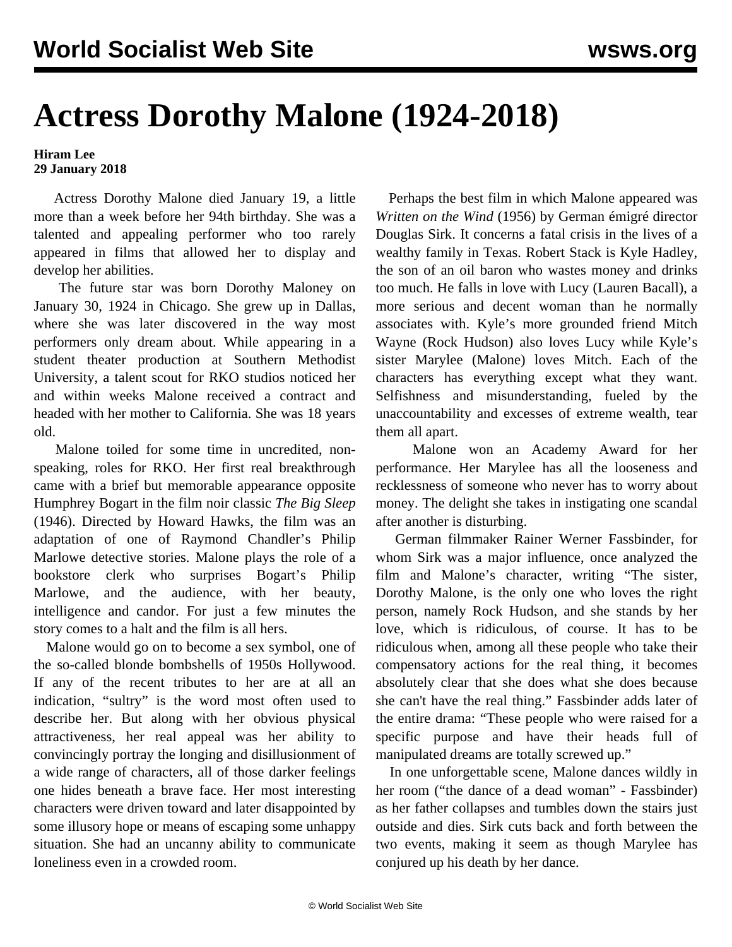## **Actress Dorothy Malone (1924-2018)**

## **Hiram Lee 29 January 2018**

 Actress Dorothy Malone died January 19, a little more than a week before her 94th birthday. She was a talented and appealing performer who too rarely appeared in films that allowed her to display and develop her abilities.

 The future star was born Dorothy Maloney on January 30, 1924 in Chicago. She grew up in Dallas, where she was later discovered in the way most performers only dream about. While appearing in a student theater production at Southern Methodist University, a talent scout for RKO studios noticed her and within weeks Malone received a contract and headed with her mother to California. She was 18 years old.

 Malone toiled for some time in uncredited, nonspeaking, roles for RKO. Her first real breakthrough came with a brief but memorable appearance opposite Humphrey Bogart in the film noir classic *The Big Sleep* (1946). Directed by Howard Hawks, the film was an adaptation of one of Raymond Chandler's Philip Marlowe detective stories. Malone plays the role of a bookstore clerk who surprises Bogart's Philip Marlowe, and the audience, with her beauty, intelligence and candor. For just a few minutes the story comes to a halt and the film is all hers.

 Malone would go on to become a sex symbol, one of the so-called blonde bombshells of 1950s Hollywood. If any of the recent tributes to her are at all an indication, "sultry" is the word most often used to describe her. But along with her obvious physical attractiveness, her real appeal was her ability to convincingly portray the longing and disillusionment of a wide range of characters, all of those darker feelings one hides beneath a brave face. Her most interesting characters were driven toward and later disappointed by some illusory hope or means of escaping some unhappy situation. She had an uncanny ability to communicate loneliness even in a crowded room.

 Perhaps the best film in which Malone appeared was *Written on the Wind* (1956) by German émigré director Douglas Sirk. It concerns a fatal crisis in the lives of a wealthy family in Texas. Robert Stack is Kyle Hadley, the son of an oil baron who wastes money and drinks too much. He falls in love with Lucy (Lauren Bacall), a more serious and decent woman than he normally associates with. Kyle's more grounded friend Mitch Wayne (Rock Hudson) also loves Lucy while Kyle's sister Marylee (Malone) loves Mitch. Each of the characters has everything except what they want. Selfishness and misunderstanding, fueled by the unaccountability and excesses of extreme wealth, tear them all apart.

 Malone won an Academy Award for her performance. Her Marylee has all the looseness and recklessness of someone who never has to worry about money. The delight she takes in instigating one scandal after another is disturbing.

 German filmmaker Rainer Werner Fassbinder, for whom Sirk was a major influence, once analyzed the film and Malone's character, writing "The sister, Dorothy Malone, is the only one who loves the right person, namely Rock Hudson, and she stands by her love, which is ridiculous, of course. It has to be ridiculous when, among all these people who take their compensatory actions for the real thing, it becomes absolutely clear that she does what she does because she can't have the real thing." Fassbinder adds later of the entire drama: "These people who were raised for a specific purpose and have their heads full of manipulated dreams are totally screwed up."

 In one unforgettable scene, Malone dances wildly in her room ("the dance of a dead woman" - Fassbinder) as her father collapses and tumbles down the stairs just outside and dies. Sirk cuts back and forth between the two events, making it seem as though Marylee has conjured up his death by her dance.